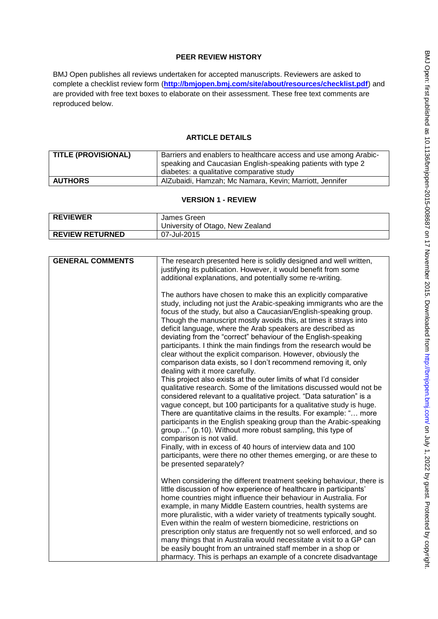## **PEER REVIEW HISTORY**

BMJ Open publishes all reviews undertaken for accepted manuscripts. Reviewers are asked to complete a checklist review form (**[http://bmjopen.bmj.com/site/about/resources/checklist.pdf\)](http://bmjopen.bmj.com/site/about/resources/checklist.pdf)** and are provided with free text boxes to elaborate on their assessment. These free text comments are reproduced below.

## **ARTICLE DETAILS**

| <b>TITLE (PROVISIONAL)</b> | Barriers and enablers to healthcare access and use among Arabic-<br>speaking and Caucasian English-speaking patients with type 2<br>diabetes: a qualitative comparative study |
|----------------------------|-------------------------------------------------------------------------------------------------------------------------------------------------------------------------------|
| <b>AUTHORS</b>             | AlZubaidi, Hamzah; Mc Namara, Kevin; Marriott, Jennifer                                                                                                                       |

## **VERSION 1 - REVIEW**

| <b>REVIEWER</b>        | James Green                      |  |
|------------------------|----------------------------------|--|
|                        | University of Otago, New Zealand |  |
| <b>REVIEW RETURNED</b> | 07-Jul-2015                      |  |

| <b>GENERAL COMMENTS</b> | The research presented here is solidly designed and well written,<br>justifying its publication. However, it would benefit from some                                                                                                                                                                                                                                                                                                                                                                                                                                                                                                                                                                                                                                                                                                                                                                                                                                                                                                                                                                                                                                                          |
|-------------------------|-----------------------------------------------------------------------------------------------------------------------------------------------------------------------------------------------------------------------------------------------------------------------------------------------------------------------------------------------------------------------------------------------------------------------------------------------------------------------------------------------------------------------------------------------------------------------------------------------------------------------------------------------------------------------------------------------------------------------------------------------------------------------------------------------------------------------------------------------------------------------------------------------------------------------------------------------------------------------------------------------------------------------------------------------------------------------------------------------------------------------------------------------------------------------------------------------|
|                         | additional explanations, and potentially some re-writing.                                                                                                                                                                                                                                                                                                                                                                                                                                                                                                                                                                                                                                                                                                                                                                                                                                                                                                                                                                                                                                                                                                                                     |
|                         |                                                                                                                                                                                                                                                                                                                                                                                                                                                                                                                                                                                                                                                                                                                                                                                                                                                                                                                                                                                                                                                                                                                                                                                               |
|                         | The authors have chosen to make this an explicitly comparative<br>study, including not just the Arabic-speaking immigrants who are the<br>focus of the study, but also a Caucasian/English-speaking group.<br>Though the manuscript mostly avoids this, at times it strays into<br>deficit language, where the Arab speakers are described as<br>deviating from the "correct" behaviour of the English-speaking<br>participants. I think the main findings from the research would be<br>clear without the explicit comparison. However, obviously the<br>comparison data exists, so I don't recommend removing it, only<br>dealing with it more carefully.<br>This project also exists at the outer limits of what I'd consider<br>qualitative research. Some of the limitations discussed would not be<br>considered relevant to a qualitative project. "Data saturation" is a<br>vague concept, but 100 participants for a qualitative study is huge.<br>There are quantitative claims in the results. For example: " more<br>participants in the English speaking group than the Arabic-speaking<br>group" (p.10). Without more robust sampling, this type of<br>comparison is not valid. |
|                         | Finally, with in excess of 40 hours of interview data and 100<br>participants, were there no other themes emerging, or are these to<br>be presented separately?                                                                                                                                                                                                                                                                                                                                                                                                                                                                                                                                                                                                                                                                                                                                                                                                                                                                                                                                                                                                                               |
|                         |                                                                                                                                                                                                                                                                                                                                                                                                                                                                                                                                                                                                                                                                                                                                                                                                                                                                                                                                                                                                                                                                                                                                                                                               |
|                         | When considering the different treatment seeking behaviour, there is<br>little discussion of how experience of healthcare in participants'<br>home countries might influence their behaviour in Australia. For<br>example, in many Middle Eastern countries, health systems are                                                                                                                                                                                                                                                                                                                                                                                                                                                                                                                                                                                                                                                                                                                                                                                                                                                                                                               |
|                         | more pluralistic, with a wider variety of treatments typically sought.<br>Even within the realm of western biomedicine, restrictions on                                                                                                                                                                                                                                                                                                                                                                                                                                                                                                                                                                                                                                                                                                                                                                                                                                                                                                                                                                                                                                                       |
|                         | prescription only status are frequently not so well enforced, and so                                                                                                                                                                                                                                                                                                                                                                                                                                                                                                                                                                                                                                                                                                                                                                                                                                                                                                                                                                                                                                                                                                                          |
|                         | many things that in Australia would necessitate a visit to a GP can                                                                                                                                                                                                                                                                                                                                                                                                                                                                                                                                                                                                                                                                                                                                                                                                                                                                                                                                                                                                                                                                                                                           |
|                         | be easily bought from an untrained staff member in a shop or                                                                                                                                                                                                                                                                                                                                                                                                                                                                                                                                                                                                                                                                                                                                                                                                                                                                                                                                                                                                                                                                                                                                  |
|                         | pharmacy. This is perhaps an example of a concrete disadvantage                                                                                                                                                                                                                                                                                                                                                                                                                                                                                                                                                                                                                                                                                                                                                                                                                                                                                                                                                                                                                                                                                                                               |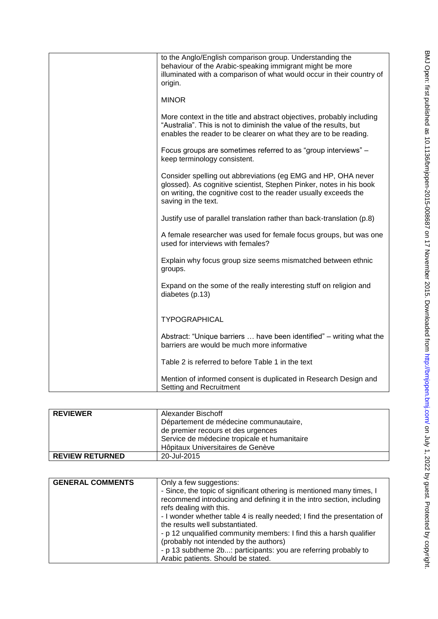| to the Anglo/English comparison group. Understanding the<br>behaviour of the Arabic-speaking immigrant might be more<br>illuminated with a comparison of what would occur in their country of<br>origin.                        |
|---------------------------------------------------------------------------------------------------------------------------------------------------------------------------------------------------------------------------------|
| <b>MINOR</b>                                                                                                                                                                                                                    |
| More context in the title and abstract objectives, probably including<br>"Australia". This is not to diminish the value of the results, but<br>enables the reader to be clearer on what they are to be reading.                 |
| Focus groups are sometimes referred to as "group interviews" -<br>keep terminology consistent.                                                                                                                                  |
| Consider spelling out abbreviations (eg EMG and HP, OHA never<br>glossed). As cognitive scientist, Stephen Pinker, notes in his book<br>on writing, the cognitive cost to the reader usually exceeds the<br>saving in the text. |
| Justify use of parallel translation rather than back-translation (p.8)                                                                                                                                                          |
| A female researcher was used for female focus groups, but was one<br>used for interviews with females?                                                                                                                          |
| Explain why focus group size seems mismatched between ethnic<br>groups.                                                                                                                                                         |
| Expand on the some of the really interesting stuff on religion and<br>diabetes (p.13)                                                                                                                                           |
| <b>TYPOGRAPHICAL</b>                                                                                                                                                                                                            |
| Abstract: "Unique barriers  have been identified" – writing what the<br>barriers are would be much more informative                                                                                                             |
| Table 2 is referred to before Table 1 in the text                                                                                                                                                                               |
| Mention of informed consent is duplicated in Research Design and<br>Setting and Recruitment                                                                                                                                     |

| <b>REVIEWER</b>        | Alexander Bischoff                           |
|------------------------|----------------------------------------------|
|                        | Département de médecine communautaire,       |
|                        | de premier recours et des urgences           |
|                        | Service de médecine tropicale et humanitaire |
|                        | Hôpitaux Universitaires de Genève            |
| <b>REVIEW RETURNED</b> | 20-Jul-2015                                  |

| <b>GENERAL COMMENTS</b> | Only a few suggestions:                                                                                                                        |  |
|-------------------------|------------------------------------------------------------------------------------------------------------------------------------------------|--|
|                         | - Since, the topic of significant othering is mentioned many times, I<br>recommend introducing and defining it in the intro section, including |  |
|                         | refs dealing with this.                                                                                                                        |  |
|                         | - I wonder whether table 4 is really needed; I find the presentation of                                                                        |  |
|                         | the results well substantiated.                                                                                                                |  |
|                         | - p 12 unqualified community members: I find this a harsh qualifier                                                                            |  |
|                         | (probably not intended by the authors)                                                                                                         |  |
|                         | - p 13 subtheme 2b: participants: you are referring probably to                                                                                |  |
|                         | Arabic patients. Should be stated.                                                                                                             |  |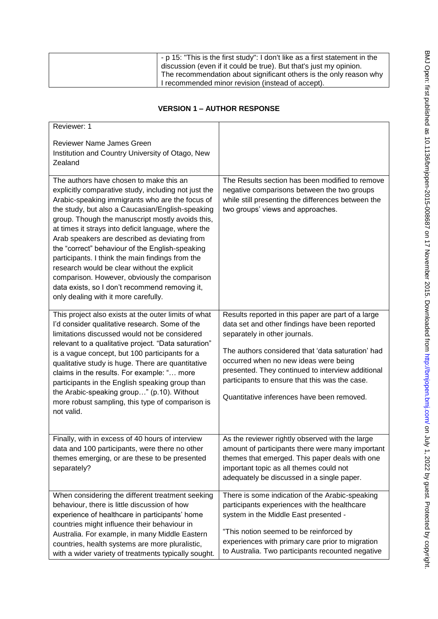| - p 15: "This is the first study": I don't like as a first statement in the<br>discussion (even if it could be true). But that's just my opinion. |
|---------------------------------------------------------------------------------------------------------------------------------------------------|
| The recommendation about significant others is the only reason why<br>I recommended minor revision (instead of accept).                           |

## **VERSION 1 – AUTHOR RESPONSE**

| Reviewer: 1<br><b>Reviewer Name James Green</b>                                                                                                                                                                                                                                                                                                                                                                                                                                                                                                                                                                                                                      |                                                                                                                                                                                                                                                                                                                                                                                          |
|----------------------------------------------------------------------------------------------------------------------------------------------------------------------------------------------------------------------------------------------------------------------------------------------------------------------------------------------------------------------------------------------------------------------------------------------------------------------------------------------------------------------------------------------------------------------------------------------------------------------------------------------------------------------|------------------------------------------------------------------------------------------------------------------------------------------------------------------------------------------------------------------------------------------------------------------------------------------------------------------------------------------------------------------------------------------|
| Institution and Country University of Otago, New                                                                                                                                                                                                                                                                                                                                                                                                                                                                                                                                                                                                                     |                                                                                                                                                                                                                                                                                                                                                                                          |
| Zealand                                                                                                                                                                                                                                                                                                                                                                                                                                                                                                                                                                                                                                                              |                                                                                                                                                                                                                                                                                                                                                                                          |
|                                                                                                                                                                                                                                                                                                                                                                                                                                                                                                                                                                                                                                                                      |                                                                                                                                                                                                                                                                                                                                                                                          |
| The authors have chosen to make this an<br>explicitly comparative study, including not just the<br>Arabic-speaking immigrants who are the focus of<br>the study, but also a Caucasian/English-speaking<br>group. Though the manuscript mostly avoids this,<br>at times it strays into deficit language, where the<br>Arab speakers are described as deviating from<br>the "correct" behaviour of the English-speaking<br>participants. I think the main findings from the<br>research would be clear without the explicit<br>comparison. However, obviously the comparison<br>data exists, so I don't recommend removing it,<br>only dealing with it more carefully. | The Results section has been modified to remove<br>negative comparisons between the two groups<br>while still presenting the differences between the<br>two groups' views and approaches.                                                                                                                                                                                                |
| This project also exists at the outer limits of what<br>I'd consider qualitative research. Some of the<br>limitations discussed would not be considered<br>relevant to a qualitative project. "Data saturation"<br>is a vague concept, but 100 participants for a<br>qualitative study is huge. There are quantitative<br>claims in the results. For example: " more<br>participants in the English speaking group than<br>the Arabic-speaking group" (p.10). Without<br>more robust sampling, this type of comparison is<br>not valid.                                                                                                                              | Results reported in this paper are part of a large<br>data set and other findings have been reported<br>separately in other journals.<br>The authors considered that 'data saturation' had<br>occurred when no new ideas were being<br>presented. They continued to interview additional<br>participants to ensure that this was the case.<br>Quantitative inferences have been removed. |
| Finally, with in excess of 40 hours of interview<br>data and 100 participants, were there no other<br>themes emerging, or are these to be presented<br>separately?                                                                                                                                                                                                                                                                                                                                                                                                                                                                                                   | As the reviewer rightly observed with the large<br>amount of participants there were many important<br>themes that emerged. This paper deals with one<br>important topic as all themes could not<br>adequately be discussed in a single paper.                                                                                                                                           |
| When considering the different treatment seeking<br>behaviour, there is little discussion of how<br>experience of healthcare in participants' home<br>countries might influence their behaviour in<br>Australia. For example, in many Middle Eastern<br>countries, health systems are more pluralistic,<br>with a wider variety of treatments typically sought.                                                                                                                                                                                                                                                                                                      | There is some indication of the Arabic-speaking<br>participants experiences with the healthcare<br>system in the Middle East presented -<br>"This notion seemed to be reinforced by<br>experiences with primary care prior to migration<br>to Australia. Two participants recounted negative                                                                                             |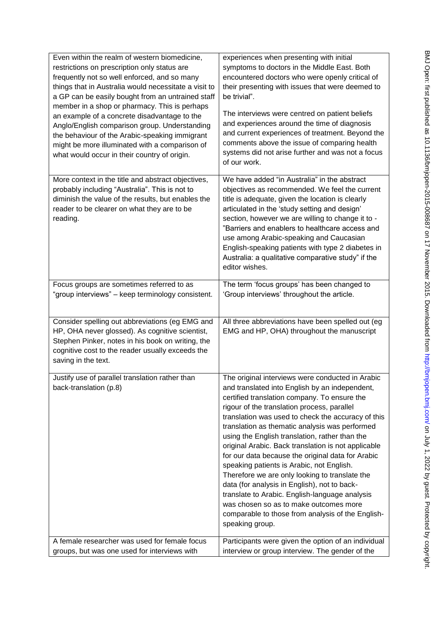| Even within the realm of western biomedicine,<br>restrictions on prescription only status are<br>frequently not so well enforced, and so many<br>things that in Australia would necessitate a visit to<br>a GP can be easily bought from an untrained staff<br>member in a shop or pharmacy. This is perhaps<br>an example of a concrete disadvantage to the<br>Anglo/English comparison group. Understanding<br>the behaviour of the Arabic-speaking immigrant<br>might be more illuminated with a comparison of<br>what would occur in their country of origin. | experiences when presenting with initial<br>symptoms to doctors in the Middle East. Both<br>encountered doctors who were openly critical of<br>their presenting with issues that were deemed to<br>be trivial".<br>The interviews were centred on patient beliefs<br>and experiences around the time of diagnosis<br>and current experiences of treatment. Beyond the<br>comments above the issue of comparing health<br>systems did not arise further and was not a focus<br>of our work.                                                                                                                                                                                                                                                                                                 |
|-------------------------------------------------------------------------------------------------------------------------------------------------------------------------------------------------------------------------------------------------------------------------------------------------------------------------------------------------------------------------------------------------------------------------------------------------------------------------------------------------------------------------------------------------------------------|--------------------------------------------------------------------------------------------------------------------------------------------------------------------------------------------------------------------------------------------------------------------------------------------------------------------------------------------------------------------------------------------------------------------------------------------------------------------------------------------------------------------------------------------------------------------------------------------------------------------------------------------------------------------------------------------------------------------------------------------------------------------------------------------|
| More context in the title and abstract objectives,<br>probably including "Australia". This is not to<br>diminish the value of the results, but enables the<br>reader to be clearer on what they are to be<br>reading.                                                                                                                                                                                                                                                                                                                                             | We have added "in Australia" in the abstract<br>objectives as recommended. We feel the current<br>title is adequate, given the location is clearly<br>articulated in the 'study setting and design'<br>section, however we are willing to change it to -<br>"Barriers and enablers to healthcare access and<br>use among Arabic-speaking and Caucasian<br>English-speaking patients with type 2 diabetes in<br>Australia: a qualitative comparative study" if the<br>editor wishes.                                                                                                                                                                                                                                                                                                        |
| Focus groups are sometimes referred to as<br>"group interviews" - keep terminology consistent.                                                                                                                                                                                                                                                                                                                                                                                                                                                                    | The term 'focus groups' has been changed to<br>'Group interviews' throughout the article.                                                                                                                                                                                                                                                                                                                                                                                                                                                                                                                                                                                                                                                                                                  |
| Consider spelling out abbreviations (eg EMG and<br>HP, OHA never glossed). As cognitive scientist,<br>Stephen Pinker, notes in his book on writing, the<br>cognitive cost to the reader usually exceeds the<br>saving in the text.                                                                                                                                                                                                                                                                                                                                | All three abbreviations have been spelled out (eg<br>EMG and HP, OHA) throughout the manuscript                                                                                                                                                                                                                                                                                                                                                                                                                                                                                                                                                                                                                                                                                            |
| Justify use of parallel translation rather than<br>back-translation (p.8)                                                                                                                                                                                                                                                                                                                                                                                                                                                                                         | The original interviews were conducted in Arabic<br>and translated into English by an independent,<br>certified translation company. To ensure the<br>rigour of the translation process, parallel<br>translation was used to check the accuracy of this<br>translation as thematic analysis was performed<br>using the English translation, rather than the<br>original Arabic. Back translation is not applicable<br>for our data because the original data for Arabic<br>speaking patients is Arabic, not English.<br>Therefore we are only looking to translate the<br>data (for analysis in English), not to back-<br>translate to Arabic. English-language analysis<br>was chosen so as to make outcomes more<br>comparable to those from analysis of the English-<br>speaking group. |
| A female researcher was used for female focus<br>groups, but was one used for interviews with                                                                                                                                                                                                                                                                                                                                                                                                                                                                     | Participants were given the option of an individual<br>interview or group interview. The gender of the                                                                                                                                                                                                                                                                                                                                                                                                                                                                                                                                                                                                                                                                                     |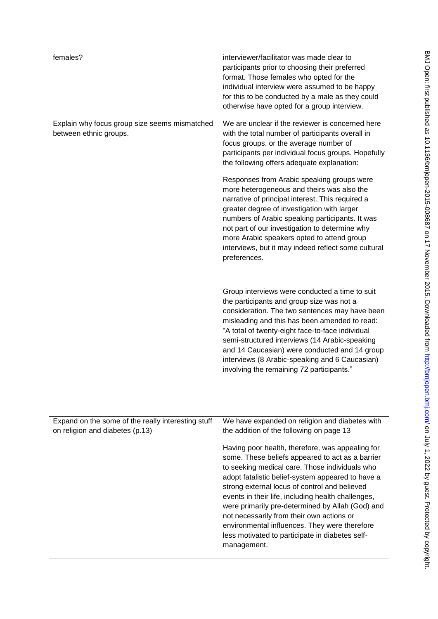| females?                                                                              | interviewer/facilitator was made clear to<br>participants prior to choosing their preferred                                                                                                                                                                                                                                                                                                                                                                                                                                            |
|---------------------------------------------------------------------------------------|----------------------------------------------------------------------------------------------------------------------------------------------------------------------------------------------------------------------------------------------------------------------------------------------------------------------------------------------------------------------------------------------------------------------------------------------------------------------------------------------------------------------------------------|
|                                                                                       | format. Those females who opted for the<br>individual interview were assumed to be happy                                                                                                                                                                                                                                                                                                                                                                                                                                               |
|                                                                                       | for this to be conducted by a male as they could<br>otherwise have opted for a group interview.                                                                                                                                                                                                                                                                                                                                                                                                                                        |
| Explain why focus group size seems mismatched<br>between ethnic groups.               | We are unclear if the reviewer is concerned here<br>with the total number of participants overall in                                                                                                                                                                                                                                                                                                                                                                                                                                   |
|                                                                                       | focus groups, or the average number of<br>participants per individual focus groups. Hopefully<br>the following offers adequate explanation:                                                                                                                                                                                                                                                                                                                                                                                            |
|                                                                                       | Responses from Arabic speaking groups were<br>more heterogeneous and theirs was also the<br>narrative of principal interest. This required a<br>greater degree of investigation with larger<br>numbers of Arabic speaking participants. It was<br>not part of our investigation to determine why<br>more Arabic speakers opted to attend group<br>interviews, but it may indeed reflect some cultural<br>preferences.                                                                                                                  |
|                                                                                       | Group interviews were conducted a time to suit<br>the participants and group size was not a<br>consideration. The two sentences may have been<br>misleading and this has been amended to read:<br>"A total of twenty-eight face-to-face individual<br>semi-structured interviews (14 Arabic-speaking<br>and 14 Caucasian) were conducted and 14 group<br>interviews (8 Arabic-speaking and 6 Caucasian)<br>involving the remaining 72 participants."                                                                                   |
| Expand on the some of the really interesting stuff<br>on religion and diabetes (p.13) | We have expanded on religion and diabetes with<br>the addition of the following on page 13                                                                                                                                                                                                                                                                                                                                                                                                                                             |
|                                                                                       | Having poor health, therefore, was appealing for<br>some. These beliefs appeared to act as a barrier<br>to seeking medical care. Those individuals who<br>adopt fatalistic belief-system appeared to have a<br>strong external locus of control and believed<br>events in their life, including health challenges,<br>were primarily pre-determined by Allah (God) and<br>not necessarily from their own actions or<br>environmental influences. They were therefore<br>less motivated to participate in diabetes self-<br>management. |